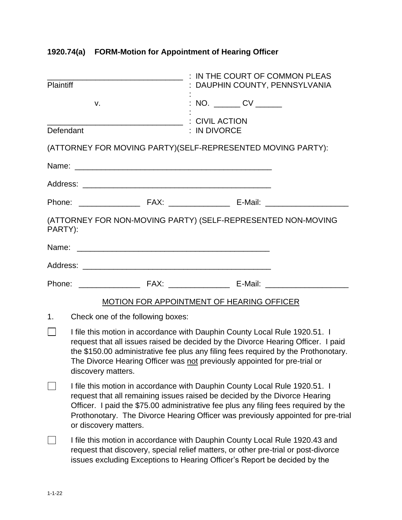| <b>Plaintiff</b> |                                                                                                                                                                                                                                                                                                                                                              | : IN THE COURT OF COMMON PLEAS<br>: DAUPHIN COUNTY, PENNSYLVANIA                                                                                                                                                                               |  |  |
|------------------|--------------------------------------------------------------------------------------------------------------------------------------------------------------------------------------------------------------------------------------------------------------------------------------------------------------------------------------------------------------|------------------------------------------------------------------------------------------------------------------------------------------------------------------------------------------------------------------------------------------------|--|--|
|                  | v.                                                                                                                                                                                                                                                                                                                                                           | : NO. _______ CV ______                                                                                                                                                                                                                        |  |  |
| Defendant        |                                                                                                                                                                                                                                                                                                                                                              | : IN DIVORCE                                                                                                                                                                                                                                   |  |  |
|                  |                                                                                                                                                                                                                                                                                                                                                              | (ATTORNEY FOR MOVING PARTY) (SELF-REPRESENTED MOVING PARTY):                                                                                                                                                                                   |  |  |
|                  |                                                                                                                                                                                                                                                                                                                                                              |                                                                                                                                                                                                                                                |  |  |
|                  |                                                                                                                                                                                                                                                                                                                                                              |                                                                                                                                                                                                                                                |  |  |
|                  |                                                                                                                                                                                                                                                                                                                                                              |                                                                                                                                                                                                                                                |  |  |
| PARTY):          |                                                                                                                                                                                                                                                                                                                                                              | (ATTORNEY FOR NON-MOVING PARTY) (SELF-REPRESENTED NON-MOVING                                                                                                                                                                                   |  |  |
|                  |                                                                                                                                                                                                                                                                                                                                                              |                                                                                                                                                                                                                                                |  |  |
|                  |                                                                                                                                                                                                                                                                                                                                                              |                                                                                                                                                                                                                                                |  |  |
|                  |                                                                                                                                                                                                                                                                                                                                                              |                                                                                                                                                                                                                                                |  |  |
|                  |                                                                                                                                                                                                                                                                                                                                                              | <b>MOTION FOR APPOINTMENT OF HEARING OFFICER</b>                                                                                                                                                                                               |  |  |
| 1.               | Check one of the following boxes:                                                                                                                                                                                                                                                                                                                            |                                                                                                                                                                                                                                                |  |  |
|                  | I file this motion in accordance with Dauphin County Local Rule 1920.51. I<br>request that all issues raised be decided by the Divorce Hearing Officer. I paid<br>the \$150.00 administrative fee plus any filing fees required by the Prothonotary.<br>The Divorce Hearing Officer was not previously appointed for pre-trial or<br>discovery matters.      |                                                                                                                                                                                                                                                |  |  |
|                  | I file this motion in accordance with Dauphin County Local Rule 1920.51. I<br>request that all remaining issues raised be decided by the Divorce Hearing<br>Officer. I paid the \$75.00 administrative fee plus any filing fees required by the<br>Prothonotary. The Divorce Hearing Officer was previously appointed for pre-trial<br>or discovery matters. |                                                                                                                                                                                                                                                |  |  |
|                  |                                                                                                                                                                                                                                                                                                                                                              | I file this motion in accordance with Dauphin County Local Rule 1920.43 and<br>request that discovery, special relief matters, or other pre-trial or post-divorce<br>issues excluding Exceptions to Hearing Officer's Report be decided by the |  |  |

## **1920.74(a) FORM-Motion for Appointment of Hearing Officer**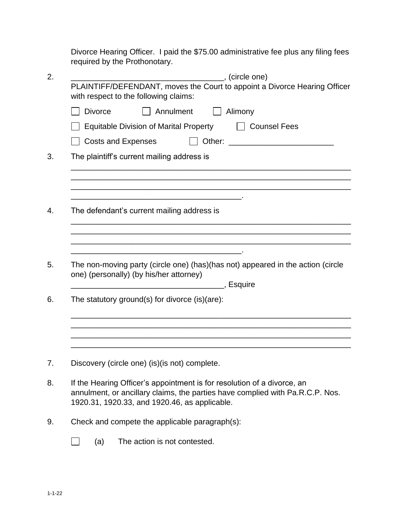Divorce Hearing Officer. I paid the \$75.00 administrative fee plus any filing fees required by the Prothonotary.

| 2. | _______________, (circle one)                                                                                                                                                                                                                                                                                                                    |  |  |  |
|----|--------------------------------------------------------------------------------------------------------------------------------------------------------------------------------------------------------------------------------------------------------------------------------------------------------------------------------------------------|--|--|--|
|    | PLAINTIFF/DEFENDANT, moves the Court to appoint a Divorce Hearing Officer<br>with respect to the following claims:                                                                                                                                                                                                                               |  |  |  |
|    | Annulment<br><b>Divorce</b><br>Alimony                                                                                                                                                                                                                                                                                                           |  |  |  |
|    | <b>Equitable Division of Marital Property</b><br>    Counsel Fees<br><b>Costs and Expenses</b><br>Other:<br><u> 1999 - John Harry Harry Harry Harry Harry Harry Harry Harry Harry Harry Harry Harry Harry Harry Harry Harry Harry Harry Harry Harry Harry Harry Harry Harry Harry Harry Harry Harry Harry Harry Harry Harry Harry Harry Harr</u> |  |  |  |
|    |                                                                                                                                                                                                                                                                                                                                                  |  |  |  |
| 3. | The plaintiff's current mailing address is                                                                                                                                                                                                                                                                                                       |  |  |  |
|    |                                                                                                                                                                                                                                                                                                                                                  |  |  |  |
|    |                                                                                                                                                                                                                                                                                                                                                  |  |  |  |
| 4. | The defendant's current mailing address is                                                                                                                                                                                                                                                                                                       |  |  |  |
|    |                                                                                                                                                                                                                                                                                                                                                  |  |  |  |
| 5. | The non-moving party (circle one) (has) (has not) appeared in the action (circle<br>one) (personally) (by his/her attorney)                                                                                                                                                                                                                      |  |  |  |
| 6. | The statutory ground(s) for divorce (is)(are):                                                                                                                                                                                                                                                                                                   |  |  |  |
|    |                                                                                                                                                                                                                                                                                                                                                  |  |  |  |
|    |                                                                                                                                                                                                                                                                                                                                                  |  |  |  |
| 7. | Discovery (circle one) (is) (is not) complete.                                                                                                                                                                                                                                                                                                   |  |  |  |
| 8. | If the Hearing Officer's appointment is for resolution of a divorce, an<br>annulment, or ancillary claims, the parties have complied with Pa.R.C.P. Nos.<br>1920.31, 1920.33, and 1920.46, as applicable.                                                                                                                                        |  |  |  |
| 9. | Check and compete the applicable paragraph(s):                                                                                                                                                                                                                                                                                                   |  |  |  |

 $\Box$ (a) The action is not contested.